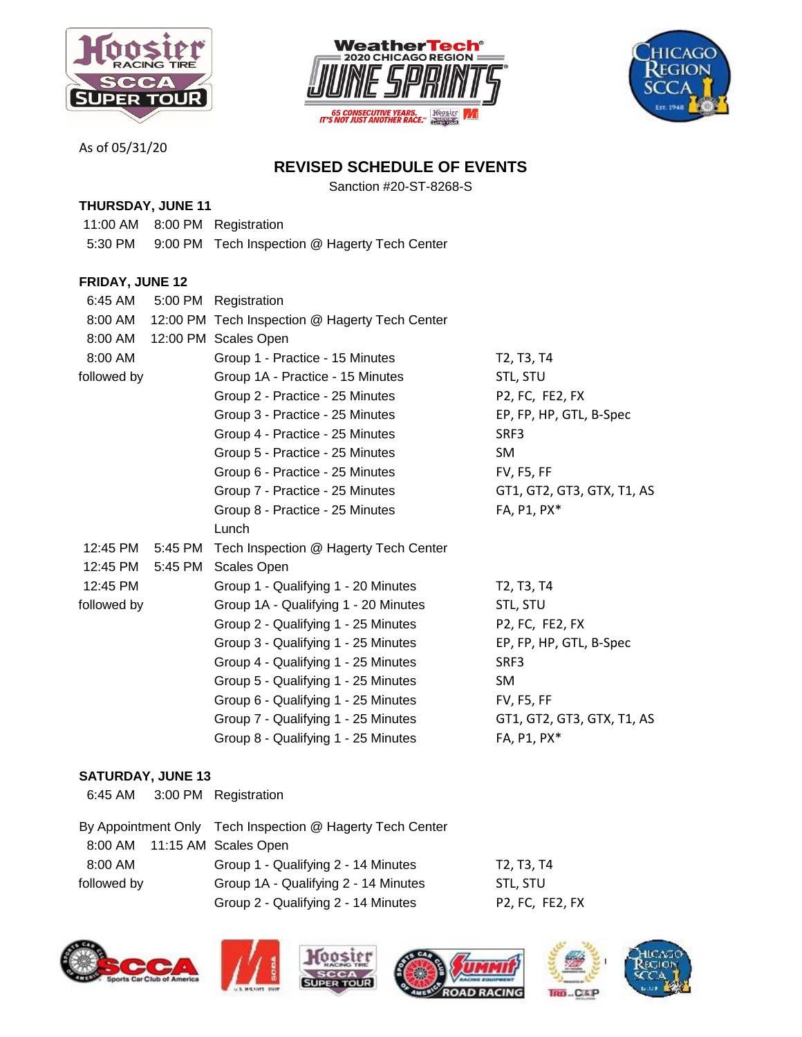





As of 05/31/20

## **REVISED SCHEDULE OF EVENTS**

Sanction #20-ST-8268-S

## **THURSDAY, JUNE 11**

- 11:00 AM 8:00 PM Registration
- 5:30 PM 9:00 PM Tech Inspection @ Hagerty Tech Center

## **FRIDAY, JUNE 12**

| 6:45 AM     |         | 5:00 PM Registration                           |                                                  |
|-------------|---------|------------------------------------------------|--------------------------------------------------|
| 8:00 AM     |         | 12:00 PM Tech Inspection @ Hagerty Tech Center |                                                  |
| 8:00 AM     |         | 12:00 PM Scales Open                           |                                                  |
| 8:00 AM     |         | Group 1 - Practice - 15 Minutes                | T <sub>2</sub> , T <sub>3</sub> , T <sub>4</sub> |
| followed by |         | Group 1A - Practice - 15 Minutes               | STL, STU                                         |
|             |         | Group 2 - Practice - 25 Minutes                | P2, FC, FE2, FX                                  |
|             |         | Group 3 - Practice - 25 Minutes                | EP, FP, HP, GTL, B-Spec                          |
|             |         | Group 4 - Practice - 25 Minutes                | SRF3                                             |
|             |         | Group 5 - Practice - 25 Minutes                | <b>SM</b>                                        |
|             |         | Group 6 - Practice - 25 Minutes                | <b>FV, F5, FF</b>                                |
|             |         | Group 7 - Practice - 25 Minutes                | GT1, GT2, GT3, GTX, T1, AS                       |
|             |         | Group 8 - Practice - 25 Minutes                | FA, P1, PX*                                      |
|             |         | Lunch                                          |                                                  |
| 12:45 PM    |         | 5:45 PM Tech Inspection @ Hagerty Tech Center  |                                                  |
| 12:45 PM    | 5:45 PM | <b>Scales Open</b>                             |                                                  |
| 12:45 PM    |         | Group 1 - Qualifying 1 - 20 Minutes            | T <sub>2</sub> , T <sub>3</sub> , T <sub>4</sub> |
| followed by |         | Group 1A - Qualifying 1 - 20 Minutes           | STL, STU                                         |
|             |         | Group 2 - Qualifying 1 - 25 Minutes            | P2, FC, FE2, FX                                  |
|             |         | Group 3 - Qualifying 1 - 25 Minutes            | EP, FP, HP, GTL, B-Spec                          |
|             |         | Group 4 - Qualifying 1 - 25 Minutes            | SRF3                                             |
|             |         | Group 5 - Qualifying 1 - 25 Minutes            | SM                                               |
|             |         | Group 6 - Qualifying 1 - 25 Minutes            | <b>FV, F5, FF</b>                                |
|             |         | Group 7 - Qualifying 1 - 25 Minutes            | GT1, GT2, GT3, GTX, T1, AS                       |
|             |         | Group 8 - Qualifying 1 - 25 Minutes            | FA, P1, PX*                                      |

## **SATURDAY, JUNE 13**

6:45 AM 3:00 PM Registration

|             |  | By Appointment Only Tech Inspection @ Hagerty Tech Center |                                                                             |
|-------------|--|-----------------------------------------------------------|-----------------------------------------------------------------------------|
|             |  | 8:00 AM 11:15 AM Scales Open                              |                                                                             |
| 8:00 AM     |  | Group 1 - Qualifying 2 - 14 Minutes                       | T2. T3. T4                                                                  |
| followed by |  | Group 1A - Qualifying 2 - 14 Minutes                      | STL. STU                                                                    |
|             |  | Group 2 - Qualifying 2 - 14 Minutes                       | P <sub>2</sub> , F <sub>C</sub> , F <sub>E<sub>2</sub>, F<sub>X</sub></sub> |